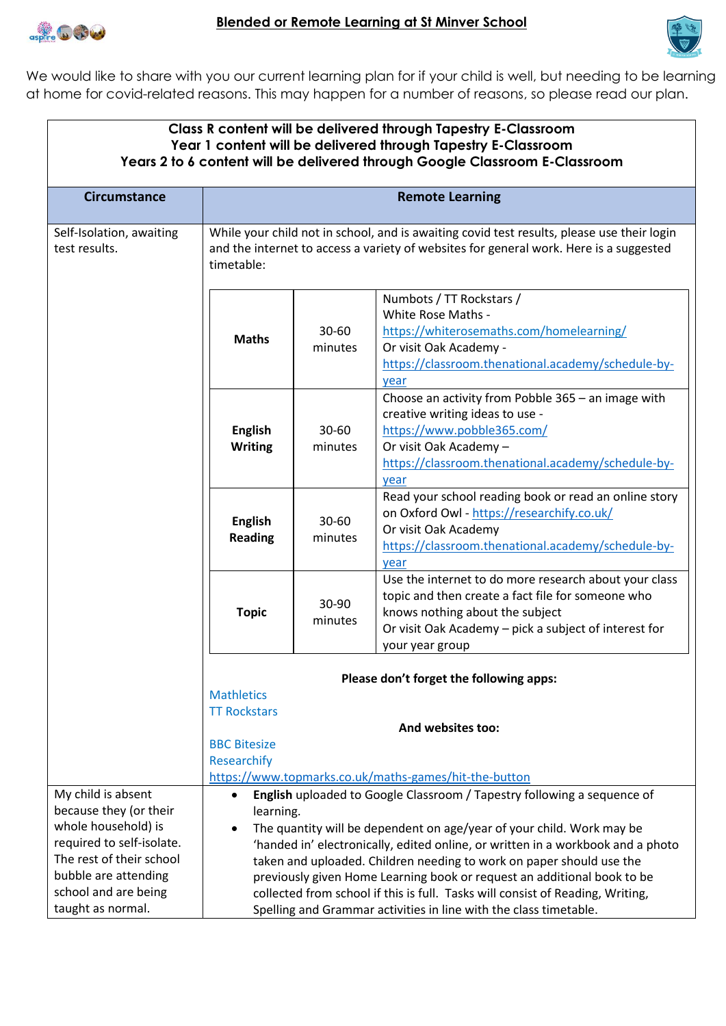



We would like to share with you our current learning plan for if your child is well, but needing to be learning at home for covid-related reasons. This may happen for a number of reasons, so please read our plan.

| Class R content will be delivered through Tapestry E-Classroom<br>Year 1 content will be delivered through Tapestry E-Classroom<br>Years 2 to 6 content will be delivered through Google Classroom E-Classroom |                                                                                                                                                                                                                                                                                                                                                                                                                                                                                                                                                            |                      |                                                                                                                                                                                                                           |  |
|----------------------------------------------------------------------------------------------------------------------------------------------------------------------------------------------------------------|------------------------------------------------------------------------------------------------------------------------------------------------------------------------------------------------------------------------------------------------------------------------------------------------------------------------------------------------------------------------------------------------------------------------------------------------------------------------------------------------------------------------------------------------------------|----------------------|---------------------------------------------------------------------------------------------------------------------------------------------------------------------------------------------------------------------------|--|
| <b>Circumstance</b>                                                                                                                                                                                            | <b>Remote Learning</b>                                                                                                                                                                                                                                                                                                                                                                                                                                                                                                                                     |                      |                                                                                                                                                                                                                           |  |
| Self-Isolation, awaiting<br>test results.                                                                                                                                                                      | While your child not in school, and is awaiting covid test results, please use their login<br>and the internet to access a variety of websites for general work. Here is a suggested<br>timetable:                                                                                                                                                                                                                                                                                                                                                         |                      |                                                                                                                                                                                                                           |  |
|                                                                                                                                                                                                                | <b>Maths</b>                                                                                                                                                                                                                                                                                                                                                                                                                                                                                                                                               | 30-60<br>minutes     | Numbots / TT Rockstars /<br>White Rose Maths -<br>https://whiterosemaths.com/homelearning/<br>Or visit Oak Academy -<br>https://classroom.thenational.academy/schedule-by-<br>year                                        |  |
|                                                                                                                                                                                                                | <b>English</b><br><b>Writing</b>                                                                                                                                                                                                                                                                                                                                                                                                                                                                                                                           | $30 - 60$<br>minutes | Choose an activity from Pobble 365 - an image with<br>creative writing ideas to use -<br>https://www.pobble365.com/<br>Or visit Oak Academy -<br>https://classroom.thenational.academy/schedule-by-<br>year               |  |
|                                                                                                                                                                                                                | <b>English</b><br><b>Reading</b>                                                                                                                                                                                                                                                                                                                                                                                                                                                                                                                           | 30-60<br>minutes     | Read your school reading book or read an online story<br>on Oxford Owl - https://researchify.co.uk/<br>Or visit Oak Academy<br>https://classroom.thenational.academy/schedule-by-<br>year                                 |  |
|                                                                                                                                                                                                                | <b>Topic</b>                                                                                                                                                                                                                                                                                                                                                                                                                                                                                                                                               | 30-90<br>minutes     | Use the internet to do more research about your class<br>topic and then create a fact file for someone who<br>knows nothing about the subject<br>Or visit Oak Academy - pick a subject of interest for<br>your year group |  |
|                                                                                                                                                                                                                | <b>Mathletics</b><br><b>TT Rockstars</b>                                                                                                                                                                                                                                                                                                                                                                                                                                                                                                                   |                      | Please don't forget the following apps:                                                                                                                                                                                   |  |
|                                                                                                                                                                                                                | <b>BBC Bitesize</b><br>Researchify                                                                                                                                                                                                                                                                                                                                                                                                                                                                                                                         |                      | And websites too:<br>https://www.topmarks.co.uk/maths-games/hit-the-button                                                                                                                                                |  |
| My child is absent<br>because they (or their<br>whole household) is<br>required to self-isolate.<br>The rest of their school<br>bubble are attending<br>school and are being<br>taught as normal.              | English uploaded to Google Classroom / Tapestry following a sequence of<br>learning.<br>The quantity will be dependent on age/year of your child. Work may be<br>'handed in' electronically, edited online, or written in a workbook and a photo<br>taken and uploaded. Children needing to work on paper should use the<br>previously given Home Learning book or request an additional book to be<br>collected from school if this is full. Tasks will consist of Reading, Writing,<br>Spelling and Grammar activities in line with the class timetable. |                      |                                                                                                                                                                                                                           |  |